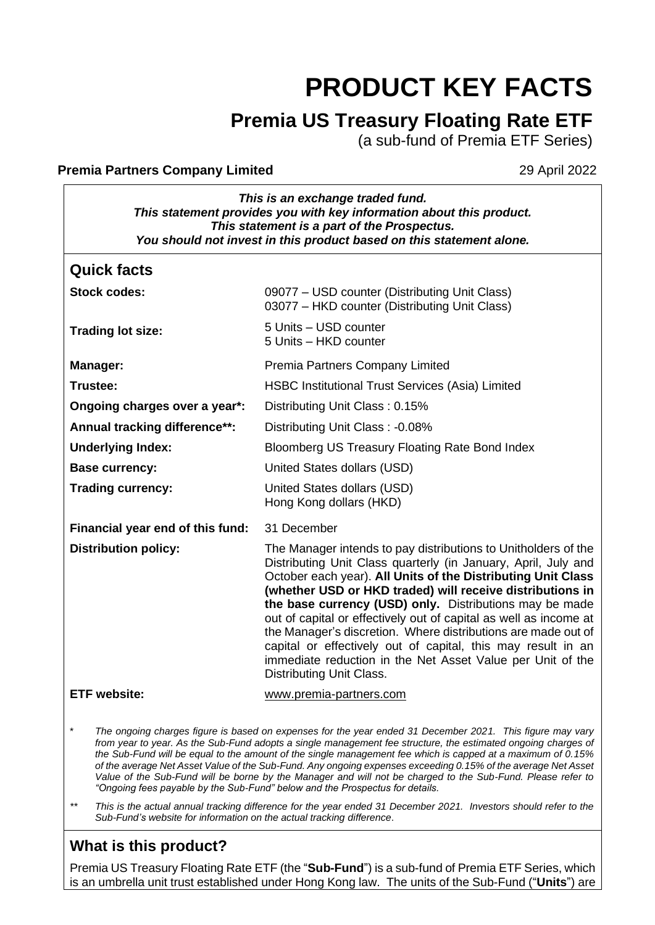# **PRODUCT KEY FACTS**

# **Premia US Treasury Floating Rate ETF**

(a sub-fund of Premia ETF Series)

#### **Premia Partners Company Limited 29 April 2022**

*This is an exchange traded fund. This statement provides you with key information about this product. This statement is a part of the Prospectus. You should not invest in this product based on this statement alone.*

| <b>Quick facts</b>               |                                                                                                                                                                                                                                                                                                                                                                                                                                                                                                                                                                                                                          |
|----------------------------------|--------------------------------------------------------------------------------------------------------------------------------------------------------------------------------------------------------------------------------------------------------------------------------------------------------------------------------------------------------------------------------------------------------------------------------------------------------------------------------------------------------------------------------------------------------------------------------------------------------------------------|
| <b>Stock codes:</b>              | 09077 - USD counter (Distributing Unit Class)<br>03077 - HKD counter (Distributing Unit Class)                                                                                                                                                                                                                                                                                                                                                                                                                                                                                                                           |
| <b>Trading lot size:</b>         | 5 Units - USD counter<br>5 Units - HKD counter                                                                                                                                                                                                                                                                                                                                                                                                                                                                                                                                                                           |
| Manager:                         | Premia Partners Company Limited                                                                                                                                                                                                                                                                                                                                                                                                                                                                                                                                                                                          |
| Trustee:                         | <b>HSBC Institutional Trust Services (Asia) Limited</b>                                                                                                                                                                                                                                                                                                                                                                                                                                                                                                                                                                  |
| Ongoing charges over a year*:    | Distributing Unit Class: 0.15%                                                                                                                                                                                                                                                                                                                                                                                                                                                                                                                                                                                           |
| Annual tracking difference**:    | Distributing Unit Class: -0.08%                                                                                                                                                                                                                                                                                                                                                                                                                                                                                                                                                                                          |
| <b>Underlying Index:</b>         | Bloomberg US Treasury Floating Rate Bond Index                                                                                                                                                                                                                                                                                                                                                                                                                                                                                                                                                                           |
| <b>Base currency:</b>            | United States dollars (USD)                                                                                                                                                                                                                                                                                                                                                                                                                                                                                                                                                                                              |
| <b>Trading currency:</b>         | United States dollars (USD)<br>Hong Kong dollars (HKD)                                                                                                                                                                                                                                                                                                                                                                                                                                                                                                                                                                   |
| Financial year end of this fund: | 31 December                                                                                                                                                                                                                                                                                                                                                                                                                                                                                                                                                                                                              |
| <b>Distribution policy:</b>      | The Manager intends to pay distributions to Unitholders of the<br>Distributing Unit Class quarterly (in January, April, July and<br>October each year). All Units of the Distributing Unit Class<br>(whether USD or HKD traded) will receive distributions in<br>the base currency (USD) only. Distributions may be made<br>out of capital or effectively out of capital as well as income at<br>the Manager's discretion. Where distributions are made out of<br>capital or effectively out of capital, this may result in an<br>immediate reduction in the Net Asset Value per Unit of the<br>Distributing Unit Class. |
| <b>ETF</b> website:              | www.premia-partners.com                                                                                                                                                                                                                                                                                                                                                                                                                                                                                                                                                                                                  |

\* *The ongoing charges figure is based on expenses for the year ended 31 December 2021. This figure may vary*  from year to year. As the Sub-Fund adopts a single management fee structure, the estimated ongoing charges of *the Sub-Fund will be equal to the amount of the single management fee which is capped at a maximum of 0.15% of the average Net Asset Value of the Sub-Fund. Any ongoing expenses exceeding 0.15% of the average Net Asset Value of the Sub-Fund will be borne by the Manager and will not be charged to the Sub-Fund. Please refer to "Ongoing fees payable by the Sub-Fund" below and the Prospectus for details.*

*\*\* This is the actual annual tracking difference for the year ended 31 December 2021. Investors should refer to the Sub-Fund's website for information on the actual tracking difference*.

# **What is this product?**

Premia US Treasury Floating Rate ETF (the "**Sub-Fund**") is a sub-fund of Premia ETF Series, which is an umbrella unit trust established under Hong Kong law. The units of the Sub-Fund ("**Units**") are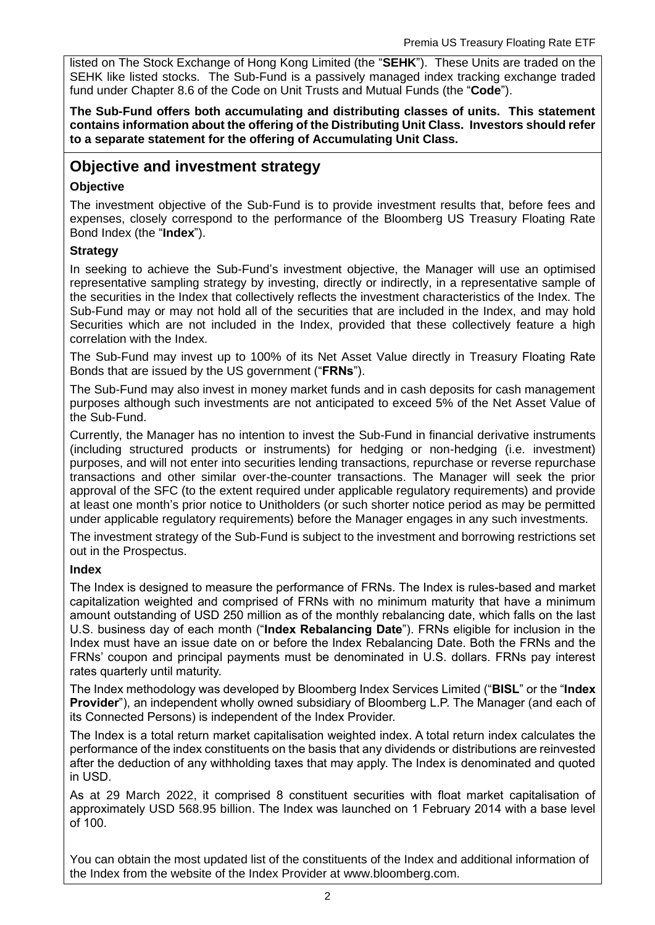listed on The Stock Exchange of Hong Kong Limited (the "**SEHK**"). These Units are traded on the SEHK like listed stocks. The Sub-Fund is a passively managed index tracking exchange traded fund under Chapter 8.6 of the Code on Unit Trusts and Mutual Funds (the "**Code**").

**The Sub-Fund offers both accumulating and distributing classes of units. This statement contains information about the offering of the Distributing Unit Class. Investors should refer to a separate statement for the offering of Accumulating Unit Class.**

# **Objective and investment strategy**

#### **Objective**

The investment objective of the Sub-Fund is to provide investment results that, before fees and expenses, closely correspond to the performance of the Bloomberg US Treasury Floating Rate Bond Index (the "**Index**").

#### **Strategy**

In seeking to achieve the Sub-Fund's investment objective, the Manager will use an optimised representative sampling strategy by investing, directly or indirectly, in a representative sample of the securities in the Index that collectively reflects the investment characteristics of the Index. The Sub-Fund may or may not hold all of the securities that are included in the Index, and may hold Securities which are not included in the Index, provided that these collectively feature a high correlation with the Index.

The Sub-Fund may invest up to 100% of its Net Asset Value directly in Treasury Floating Rate Bonds that are issued by the US government ("**FRNs**").

The Sub-Fund may also invest in money market funds and in cash deposits for cash management purposes although such investments are not anticipated to exceed 5% of the Net Asset Value of the Sub-Fund.

Currently, the Manager has no intention to invest the Sub-Fund in financial derivative instruments (including structured products or instruments) for hedging or non-hedging (i.e. investment) purposes, and will not enter into securities lending transactions, repurchase or reverse repurchase transactions and other similar over-the-counter transactions. The Manager will seek the prior approval of the SFC (to the extent required under applicable regulatory requirements) and provide at least one month's prior notice to Unitholders (or such shorter notice period as may be permitted under applicable regulatory requirements) before the Manager engages in any such investments.

The investment strategy of the Sub-Fund is subject to the investment and borrowing restrictions set out in the Prospectus.

#### **Index**

The Index is designed to measure the performance of FRNs. The Index is rules-based and market capitalization weighted and comprised of FRNs with no minimum maturity that have a minimum amount outstanding of USD 250 million as of the monthly rebalancing date, which falls on the last U.S. business day of each month ("**Index Rebalancing Date**"). FRNs eligible for inclusion in the Index must have an issue date on or before the Index Rebalancing Date. Both the FRNs and the FRNs' coupon and principal payments must be denominated in U.S. dollars. FRNs pay interest rates quarterly until maturity.

The Index methodology was developed by Bloomberg Index Services Limited ("**BISL**" or the "**Index Provider**"), an independent wholly owned subsidiary of Bloomberg L.P. The Manager (and each of its Connected Persons) is independent of the Index Provider.

The Index is a total return market capitalisation weighted index. A total return index calculates the performance of the index constituents on the basis that any dividends or distributions are reinvested after the deduction of any withholding taxes that may apply. The Index is denominated and quoted in USD.

As at 29 March 2022, it comprised 8 constituent securities with float market capitalisation of approximately USD 568.95 billion. The Index was launched on 1 February 2014 with a base level of 100.

You can obtain the most updated list of the constituents of the Index and additional information of the Index from the website of the Index Provider at [www.bloomberg.com.](http://www.bloomberg.com/)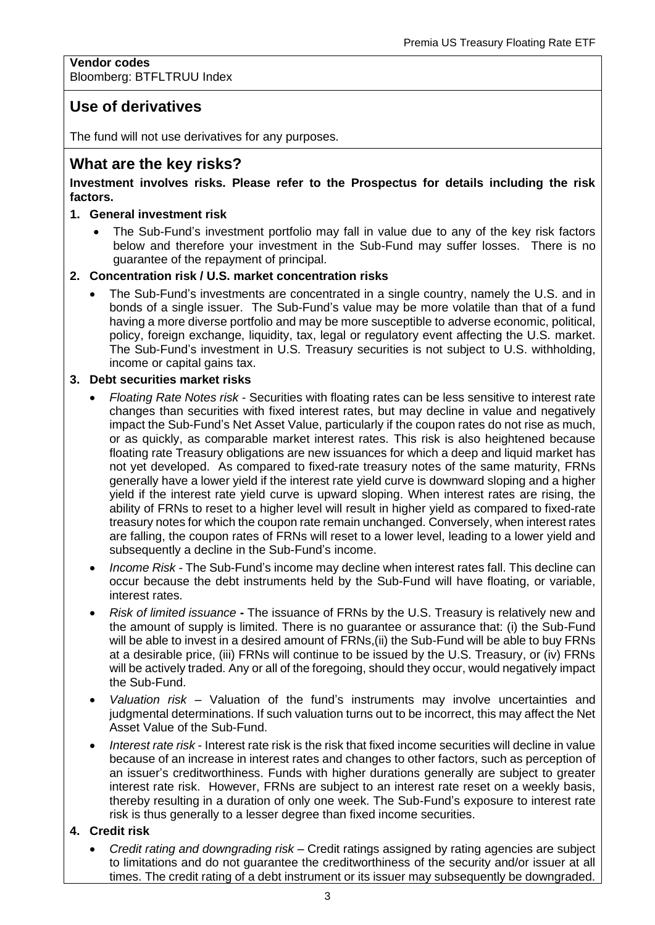#### **Vendor codes** Bloomberg: BTFLTRUU Index

# **Use of derivatives**

The fund will not use derivatives for any purposes.

## **What are the key risks?**

#### **Investment involves risks. Please refer to the Prospectus for details including the risk factors.**

#### **1. General investment risk**

• The Sub-Fund's investment portfolio may fall in value due to any of the key risk factors below and therefore your investment in the Sub-Fund may suffer losses. There is no guarantee of the repayment of principal.

#### **2. Concentration risk / U.S. market concentration risks**

• The Sub-Fund's investments are concentrated in a single country, namely the U.S. and in bonds of a single issuer. The Sub-Fund's value may be more volatile than that of a fund having a more diverse portfolio and may be more susceptible to adverse economic, political, policy, foreign exchange, liquidity, tax, legal or regulatory event affecting the U.S. market. The Sub-Fund's investment in U.S. Treasury securities is not subject to U.S. withholding, income or capital gains tax.

#### **3. Debt securities market risks**

- *Floating Rate Notes risk* Securities with floating rates can be less sensitive to interest rate changes than securities with fixed interest rates, but may decline in value and negatively impact the Sub-Fund's Net Asset Value, particularly if the coupon rates do not rise as much, or as quickly, as comparable market interest rates. This risk is also heightened because floating rate Treasury obligations are new issuances for which a deep and liquid market has not yet developed. As compared to fixed-rate treasury notes of the same maturity, FRNs generally have a lower yield if the interest rate yield curve is downward sloping and a higher yield if the interest rate yield curve is upward sloping. When interest rates are rising, the ability of FRNs to reset to a higher level will result in higher yield as compared to fixed-rate treasury notes for which the coupon rate remain unchanged. Conversely, when interest rates are falling, the coupon rates of FRNs will reset to a lower level, leading to a lower yield and subsequently a decline in the Sub-Fund's income.
- *Income Risk -* The Sub-Fund's income may decline when interest rates fall. This decline can occur because the debt instruments held by the Sub-Fund will have floating, or variable, interest rates.
- *Risk of limited issuance* **-** The issuance of FRNs by the U.S. Treasury is relatively new and the amount of supply is limited. There is no guarantee or assurance that: (i) the Sub-Fund will be able to invest in a desired amount of FRNs, (ii) the Sub-Fund will be able to buy FRNs at a desirable price, (iii) FRNs will continue to be issued by the U.S. Treasury, or (iv) FRNs will be actively traded. Any or all of the foregoing, should they occur, would negatively impact the Sub-Fund.
- *Valuation risk* Valuation of the fund's instruments may involve uncertainties and judgmental determinations. If such valuation turns out to be incorrect, this may affect the Net Asset Value of the Sub-Fund.
- *Interest rate risk* Interest rate risk is the risk that fixed income securities will decline in value because of an increase in interest rates and changes to other factors, such as perception of an issuer's creditworthiness. Funds with higher durations generally are subject to greater interest rate risk. However, FRNs are subject to an interest rate reset on a weekly basis, thereby resulting in a duration of only one week. The Sub-Fund's exposure to interest rate risk is thus generally to a lesser degree than fixed income securities.

#### **4. Credit risk**

• *Credit rating and downgrading risk* – Credit ratings assigned by rating agencies are subject to limitations and do not guarantee the creditworthiness of the security and/or issuer at all times. The credit rating of a debt instrument or its issuer may subsequently be downgraded.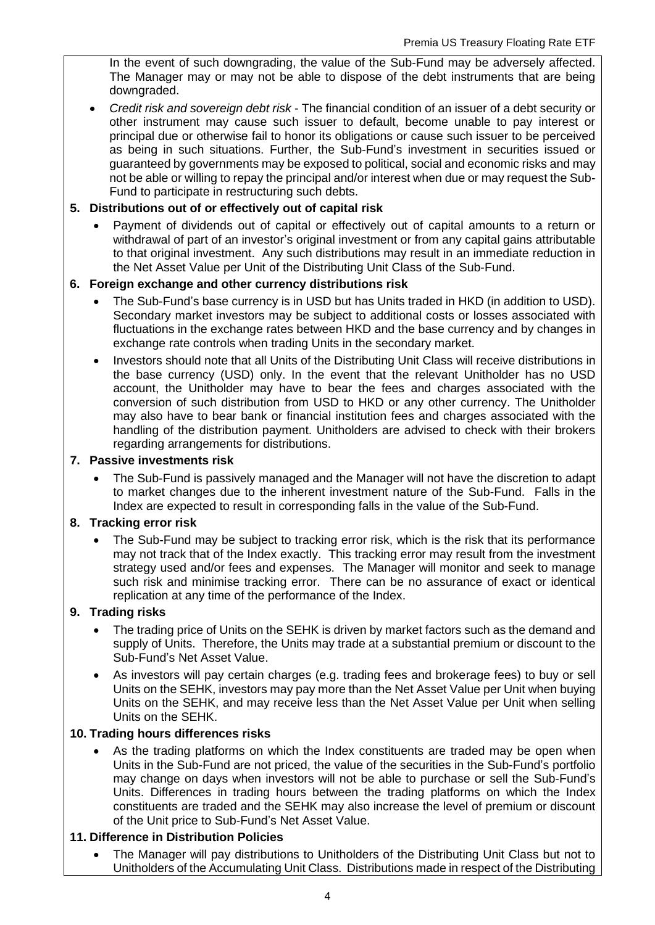In the event of such downgrading, the value of the Sub-Fund may be adversely affected. The Manager may or may not be able to dispose of the debt instruments that are being downgraded.

• *Credit risk and sovereign debt risk* - The financial condition of an issuer of a debt security or other instrument may cause such issuer to default, become unable to pay interest or principal due or otherwise fail to honor its obligations or cause such issuer to be perceived as being in such situations. Further, the Sub-Fund's investment in securities issued or guaranteed by governments may be exposed to political, social and economic risks and may not be able or willing to repay the principal and/or interest when due or may request the Sub-Fund to participate in restructuring such debts.

#### **5. Distributions out of or effectively out of capital risk**

• Payment of dividends out of capital or effectively out of capital amounts to a return or withdrawal of part of an investor's original investment or from any capital gains attributable to that original investment. Any such distributions may result in an immediate reduction in the Net Asset Value per Unit of the Distributing Unit Class of the Sub-Fund.

#### **6. Foreign exchange and other currency distributions risk**

- The Sub-Fund's base currency is in USD but has Units traded in HKD (in addition to USD). Secondary market investors may be subject to additional costs or losses associated with fluctuations in the exchange rates between HKD and the base currency and by changes in exchange rate controls when trading Units in the secondary market.
- Investors should note that all Units of the Distributing Unit Class will receive distributions in the base currency (USD) only. In the event that the relevant Unitholder has no USD account, the Unitholder may have to bear the fees and charges associated with the conversion of such distribution from USD to HKD or any other currency. The Unitholder may also have to bear bank or financial institution fees and charges associated with the handling of the distribution payment. Unitholders are advised to check with their brokers regarding arrangements for distributions.

#### **7. Passive investments risk**

• The Sub-Fund is passively managed and the Manager will not have the discretion to adapt to market changes due to the inherent investment nature of the Sub-Fund. Falls in the Index are expected to result in corresponding falls in the value of the Sub-Fund.

#### **8. Tracking error risk**

The Sub-Fund may be subject to tracking error risk, which is the risk that its performance may not track that of the Index exactly. This tracking error may result from the investment strategy used and/or fees and expenses. The Manager will monitor and seek to manage such risk and minimise tracking error. There can be no assurance of exact or identical replication at any time of the performance of the Index.

#### **9. Trading risks**

- The trading price of Units on the SEHK is driven by market factors such as the demand and supply of Units. Therefore, the Units may trade at a substantial premium or discount to the Sub-Fund's Net Asset Value.
- As investors will pay certain charges (e.g. trading fees and brokerage fees) to buy or sell Units on the SEHK, investors may pay more than the Net Asset Value per Unit when buying Units on the SEHK, and may receive less than the Net Asset Value per Unit when selling Units on the SEHK.

#### **10. Trading hours differences risks**

As the trading platforms on which the Index constituents are traded may be open when Units in the Sub-Fund are not priced, the value of the securities in the Sub-Fund's portfolio may change on days when investors will not be able to purchase or sell the Sub-Fund's Units. Differences in trading hours between the trading platforms on which the Index constituents are traded and the SEHK may also increase the level of premium or discount of the Unit price to Sub-Fund's Net Asset Value.

#### **11. Difference in Distribution Policies**

• The Manager will pay distributions to Unitholders of the Distributing Unit Class but not to Unitholders of the Accumulating Unit Class. Distributions made in respect of the Distributing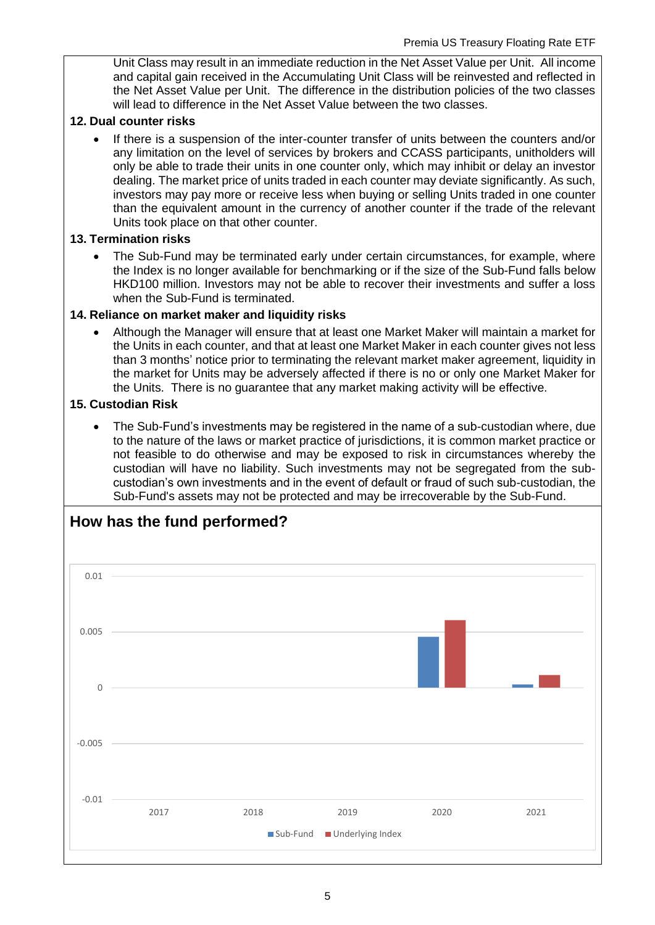Unit Class may result in an immediate reduction in the Net Asset Value per Unit. All income and capital gain received in the Accumulating Unit Class will be reinvested and reflected in the Net Asset Value per Unit. The difference in the distribution policies of the two classes will lead to difference in the Net Asset Value between the two classes.

#### **12. Dual counter risks**

• If there is a suspension of the inter-counter transfer of units between the counters and/or any limitation on the level of services by brokers and CCASS participants, unitholders will only be able to trade their units in one counter only, which may inhibit or delay an investor dealing. The market price of units traded in each counter may deviate significantly. As such, investors may pay more or receive less when buying or selling Units traded in one counter than the equivalent amount in the currency of another counter if the trade of the relevant Units took place on that other counter.

#### **13. Termination risks**

• The Sub-Fund may be terminated early under certain circumstances, for example, where the Index is no longer available for benchmarking or if the size of the Sub-Fund falls below HKD100 million. Investors may not be able to recover their investments and suffer a loss when the Sub-Fund is terminated.

#### **14. Reliance on market maker and liquidity risks**

• Although the Manager will ensure that at least one Market Maker will maintain a market for the Units in each counter, and that at least one Market Maker in each counter gives not less than 3 months' notice prior to terminating the relevant market maker agreement, liquidity in the market for Units may be adversely affected if there is no or only one Market Maker for the Units. There is no guarantee that any market making activity will be effective.

#### **15. Custodian Risk**

• The Sub-Fund's investments may be registered in the name of a sub-custodian where, due to the nature of the laws or market practice of jurisdictions, it is common market practice or not feasible to do otherwise and may be exposed to risk in circumstances whereby the custodian will have no liability. Such investments may not be segregated from the subcustodian's own investments and in the event of default or fraud of such sub-custodian, the Sub-Fund's assets may not be protected and may be irrecoverable by the Sub-Fund.

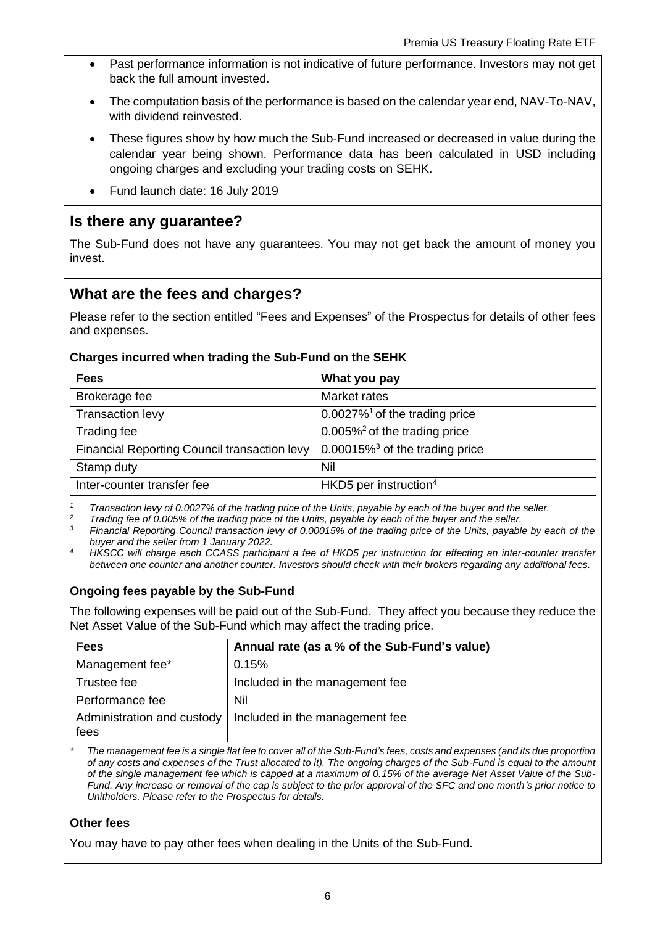- Past performance information is not indicative of future performance. Investors may not get back the full amount invested.
- The computation basis of the performance is based on the calendar year end, NAV-To-NAV, with dividend reinvested.
- These figures show by how much the Sub-Fund increased or decreased in value during the calendar year being shown. Performance data has been calculated in USD including ongoing charges and excluding your trading costs on SEHK.
- Fund launch date: 16 July 2019

# **Is there any guarantee?**

The Sub-Fund does not have any guarantees. You may not get back the amount of money you invest.

# **What are the fees and charges?**

Please refer to the section entitled "Fees and Expenses" of the Prospectus for details of other fees and expenses.

#### **Charges incurred when trading the Sub-Fund on the SEHK**

| <b>Fees</b>                                  | What you pay                                  |
|----------------------------------------------|-----------------------------------------------|
| Brokerage fee                                | Market rates                                  |
| Transaction levy                             | $0.0027\%$ <sup>1</sup> of the trading price  |
| Trading fee                                  | $0.005\%$ <sup>2</sup> of the trading price   |
| Financial Reporting Council transaction levy | $0.00015\%$ <sup>3</sup> of the trading price |
| Stamp duty                                   | Nil                                           |
| Inter-counter transfer fee                   | HKD5 per instruction $4$                      |

*<sup>1</sup> Transaction levy of 0.0027% of the trading price of the Units, payable by each of the buyer and the seller.*

<sup>2</sup> *Trading fee of 0.005% of the trading price of the Units, payable by each of the buyer and the seller.*<br><sup>2</sup> *Financial Penerting Council transaction low of 0.00015% of the trading price of the Unite pouch!* 

*<sup>3</sup> Financial Reporting Council transaction levy of 0.00015% of the trading price of the Units, payable by each of the buyer and the seller from 1 January 2022.*

*<sup>4</sup>HKSCC will charge each CCASS participant a fee of HKD5 per instruction for effecting an inter-counter transfer between one counter and another counter. Investors should check with their brokers regarding any additional fees.*

#### **Ongoing fees payable by the Sub-Fund**

The following expenses will be paid out of the Sub-Fund. They affect you because they reduce the Net Asset Value of the Sub-Fund which may affect the trading price.

| <b>Fees</b>                        | Annual rate (as a % of the Sub-Fund's value) |
|------------------------------------|----------------------------------------------|
| Management fee*                    | 0.15%                                        |
| Trustee fee                        | Included in the management fee               |
| Performance fee                    | Nil                                          |
| Administration and custody<br>fees | Included in the management fee               |

*\* The management fee is a single flat fee to cover all of the Sub-Fund's fees, costs and expenses (and its due proportion of any costs and expenses of the Trust allocated to it). The ongoing charges of the Sub-Fund is equal to the amount of the single management fee which is capped at a maximum of 0.15% of the average Net Asset Value of the Sub-Fund. Any increase or removal of the cap is subject to the prior approval of the SFC and one month's prior notice to Unitholders. Please refer to the Prospectus for details.*

#### **Other fees**

You may have to pay other fees when dealing in the Units of the Sub-Fund.